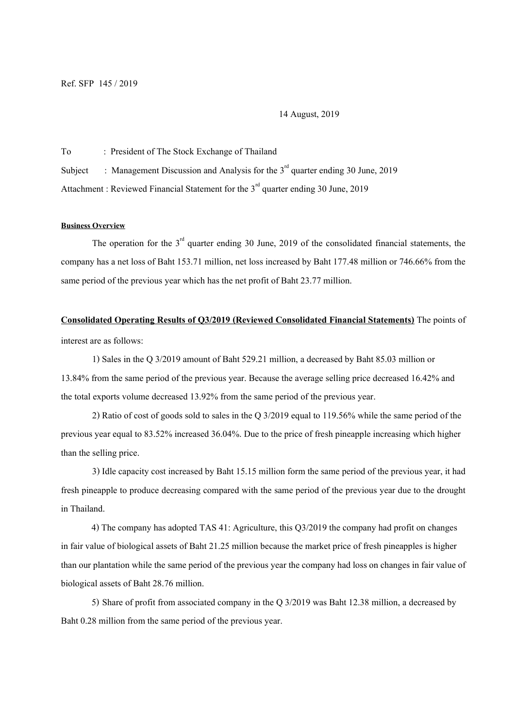14 August, 2019

To : President of The Stock Exchange of Thailand

Subject : Management Discussion and Analysis for the  $3<sup>rd</sup>$  quarter ending 30 June, 2019

Attachment : Reviewed Financial Statement for the  $3<sup>rd</sup>$  quarter ending 30 June, 2019

## **Business Overview**

The operation for the  $3<sup>rd</sup>$  quarter ending 30 June, 2019 of the consolidated financial statements, the company has a net lossof Baht153.71 million, net loss increased by Baht 177.48 million or 746.66% from the same period of the previous year which has the net profit of Baht 23.77 million.

## **Consolidated Operating Results of Q3/2019 (Reviewed Consolidated Financial Statements)** The points of

interest are as follows:

1) Sales in the Q 3/2019 amount of Baht 529.21 million, a decreased by Baht 85.03 million or 13.84% from the same period of the previous year. Because the average selling price decreased 16.42% and the total exports volume decreased 13.92% from the same period of the previous year.

2) Ratio of cost of goods sold to sales in the Q 3/2019 equal to 119.56% while the same period of the previous year equal to 83.52% increased 36.04%. Due to the price of fresh pineapple increasing which higher than the selling price.

3) Idle capacity cost increased by Baht 15.15 million form the same period of the previous year, it had fresh pineapple to produce decreasing compared with the same period of the previous year due to the drought in Thailand.

4) The company has adopted TAS 41: Agriculture, this Q3/2019 the company had profiton changes in fair value of biological assets of Baht 21.25 million because the market price of fresh pineapples is higher than our plantation while the same period of the previous year the company had losson changes in fair value of biological assets of Baht 28.76 million.

5) Share of profit from associated company in the Q 3/2019 was Baht 12.38 million, a decreased by Baht 0.28 million from the same period of the previous year.